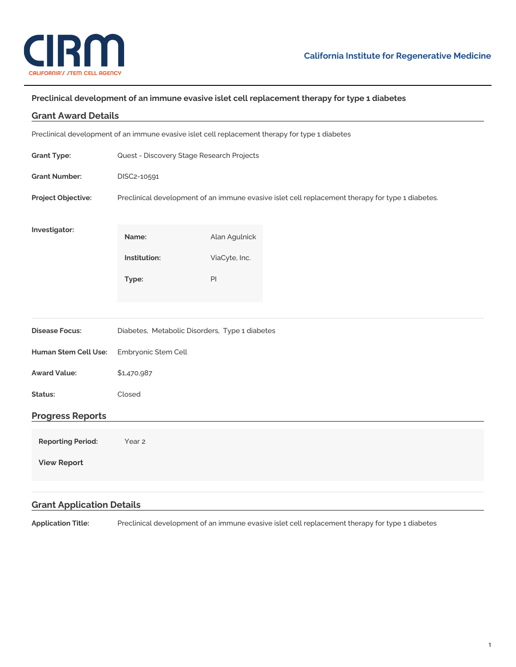

## **Preclinical development of an immune evasive islet cell replacement therapy for type 1 diabetes**

| <b>Grant Award Details</b>                                                                      |                                                                                                  |               |  |
|-------------------------------------------------------------------------------------------------|--------------------------------------------------------------------------------------------------|---------------|--|
| Preclinical development of an immune evasive islet cell replacement therapy for type 1 diabetes |                                                                                                  |               |  |
| <b>Grant Type:</b>                                                                              | Quest - Discovery Stage Research Projects                                                        |               |  |
| <b>Grant Number:</b>                                                                            | DISC2-10591                                                                                      |               |  |
| Project Objective:                                                                              | Preclinical development of an immune evasive islet cell replacement therapy for type 1 diabetes. |               |  |
| Investigator:                                                                                   | Name:                                                                                            | Alan Agulnick |  |
|                                                                                                 | Institution:                                                                                     | ViaCyte, Inc. |  |
|                                                                                                 | Type:                                                                                            | $\mathsf{Pl}$ |  |
|                                                                                                 |                                                                                                  |               |  |
| <b>Disease Focus:</b>                                                                           | Diabetes, Metabolic Disorders, Type 1 diabetes                                                   |               |  |
| Human Stem Cell Use:                                                                            | Embryonic Stem Cell                                                                              |               |  |
| <b>Award Value:</b>                                                                             | \$1,470,987                                                                                      |               |  |
| Status:                                                                                         | Closed                                                                                           |               |  |
| <b>Progress Reports</b>                                                                         |                                                                                                  |               |  |
| <b>Reporting Period:</b>                                                                        | Year 2                                                                                           |               |  |
| <b>View Report</b>                                                                              |                                                                                                  |               |  |
|                                                                                                 |                                                                                                  |               |  |
| <b>Grant Application Details</b>                                                                |                                                                                                  |               |  |

**Application Title:** Preclinical development of an immune evasive islet cell replacement therapy for type 1 diabetes